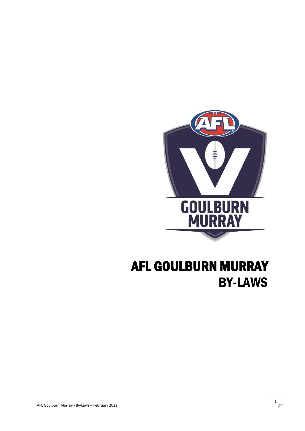

# AFL GOULBURN MURRAY BY-LAWS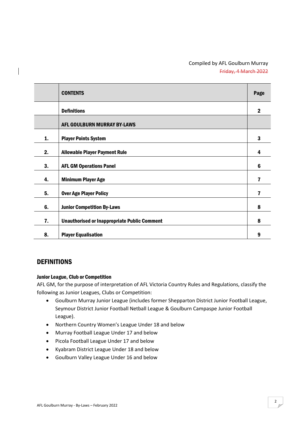# Compiled by AFL Goulburn Murray Friday, 4 March 2022

|    | <b>CONTENTS</b>                                     | Page                    |
|----|-----------------------------------------------------|-------------------------|
|    | <b>Definitions</b>                                  | $\mathbf 2$             |
|    | AFL GOULBURN MURRAY BY-LAWS                         |                         |
| 1. | <b>Player Points System</b>                         | 3                       |
| 2. | <b>Allowable Player Payment Rule</b>                | 4                       |
| 3. | <b>AFL GM Operations Panel</b>                      | 6                       |
| 4. | <b>Minimum Player Age</b>                           | $\overline{\mathbf{r}}$ |
| 5. | <b>Over Age Player Policy</b>                       | 7                       |
| 6. | <b>Junior Competition By-Laws</b>                   | 8                       |
| 7. | <b>Unauthorised or Inappropriate Public Comment</b> | 8                       |
| 8. | <b>Player Equalisation</b>                          | 9                       |

# **DEFINITIONS**

#### Junior League, Club or Competition

AFL GM, for the purpose of interpretation of AFL Victoria Country Rules and Regulations, classify the following as Junior Leagues, Clubs or Competition:

- Goulburn Murray Junior League (includes former Shepparton District Junior Football League, Seymour District Junior Football Netball League & Goulburn Campaspe Junior Football League).
- Northern Country Women's League Under 18 and below
- Murray Football League Under 17 and below
- Picola Football League Under 17 and below
- Kyabram District League Under 18 and below
- Goulburn Valley League Under 16 and below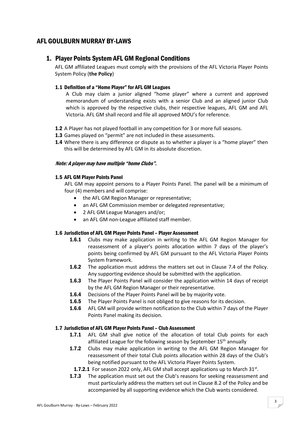# AFL GOULBURN MURRAY BY-LAWS

# 1. Player Points System AFL GM Regional Conditions

AFL GM affiliated Leagues must comply with the provisions of the AFL Victoria Player Points System Policy (**the Policy**)

## 1.1 Definition of a "Home Player" for AFL GM Leagues

A Club may claim a junior aligned "home player" where a current and approved memorandum of understanding exists with a senior Club and an aligned junior Club which is approved by the respective clubs, their respective leagues, AFL GM and AFL Victoria. AFL GM shall record and file all approved MOU's for reference.

- 1.2 A Player has not played football in any competition for 3 or more full seasons.
- 1.3 Games played on "permit" are not included in these assessments.
- **1.4** Where there is any difference or dispute as to whether a player is a "home player" then this will be determined by AFL GM in its absolute discretion.

## Note: A player may have multiple "home Clubs".

## 1.5 AFL GM Player Points Panel

AFL GM may appoint persons to a Player Points Panel. The panel will be a minimum of four (4) members and will comprise:

- the AFL GM Region Manager or representative;
- an AFL GM Commission member or delegated representative;
- 2 AFL GM League Managers and/or;
- an AFL GM non-League affiliated staff member.

## 1.6 Jurisdiction of AFL GM Player Points Panel – Player Assessment

- **1.6.1** Clubs may make application in writing to the AFL GM Region Manager for reassessment of a player's points allocation within 7 days of the player's points being confirmed by AFL GM pursuant to the AFL Victoria Player Points System framework.
- **1.6.2** The application must address the matters set out in Clause 7.4 of the Policy. Any supporting evidence should be submitted with the application.
- 1.6.3 The Player Points Panel will consider the application within 14 days of receipt by the AFL GM Region Manager or their representative.
- 1.6.4 Decisions of the Player Points Panel will be by majority vote.
- 1.6.5 The Player Points Panel is not obliged to give reasons for its decision.
- 1.6.6 AFL GM will provide written notification to the Club within 7 days of the Player Points Panel making its decision.

## 1.7 Jurisdiction of AFL GM Player Points Panel – Club Assessment

- 1.7.1 AFL GM shall give notice of the allocation of total Club points for each affiliated League for the following season by September  $15<sup>th</sup>$  annually
- **1.7.2** Clubs may make application in writing to the AFL GM Region Manager for reassessment of their total Club points allocation within 28 days of the Club's being notified pursuant to the AFL Victoria Player Points System.
- **1.7.2.1** For season 2022 only, AFL GM shall accept applications up to March 31st.
- **1.7.3** The application must set out the Club's reasons for seeking reassessment and must particularly address the matters set out in Clause 8.2 of the Policy and be accompanied by all supporting evidence which the Club wants considered.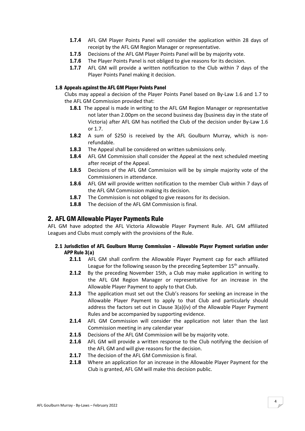- 1.7.4 AFL GM Player Points Panel will consider the application within 28 days of receipt by the AFL GM Region Manager or representative.
- 1.7.5 Decisions of the AFL GM Player Points Panel will be by majority vote.
- 1.7.6 The Player Points Panel is not obliged to give reasons for its decision.
- 1.7.7 AFL GM will provide a written notification to the Club within 7 days of the Player Points Panel making it decision.

## 1.8 Appeals against the AFL GM Player Points Panel

Clubs may appeal a decision of the Player Points Panel based on By-Law 1.6 and 1.7 to the AFL GM Commission provided that:

- 1.8.1 The appeal is made in writing to the AFL GM Region Manager or representative not later than 2.00pm on the second business day (business day in the state of Victoria) after AFL GM has notified the Club of the decision under By-Law 1.6 or 1.7.
- 1.8.2 A sum of \$250 is received by the AFL Goulburn Murray, which is nonrefundable.
- 1.8.3 The Appeal shall be considered on written submissions only.
- **1.8.4** AFL GM Commission shall consider the Appeal at the next scheduled meeting after receipt of the Appeal.
- 1.8.5 Decisions of the AFL GM Commission will be by simple majority vote of the Commissioners in attendance.
- 1.8.6 AFL GM will provide written notification to the member Club within 7 days of the AFL GM Commission making its decision.
- 1.8.7 The Commission is not obliged to give reasons for its decision.
- 1.8.8 The decision of the AFL GM Commission is final.

## 2. AFL GM Allowable Player Payments Rule

AFL GM have adopted the AFL Victoria Allowable Player Payment Rule. AFL GM affiliated Leagues and Clubs must comply with the provisions of the Rule.

#### 2.1 Jurisdiction of AFL Goulburn Murray Commission – Allowable Player Payment variation under APP Rule 3(a)

- 2.1.1 AFL GM shall confirm the Allowable Player Payment cap for each affiliated League for the following season by the preceding September  $15<sup>th</sup>$  annually.
- **2.1.2** By the preceding November 15th, a Club may make application in writing to the AFL GM Region Manager or representative for an increase in the Allowable Player Payment to apply to that Club.
- 2.1.3 The application must set out the Club's reasons for seeking an increase in the Allowable Player Payment to apply to that Club and particularly should address the factors set out in Clause 3(a)(iv) of the Allowable Player Payment Rules and be accompanied by supporting evidence.
- 2.1.4 AFL GM Commission will consider the application not later than the last Commission meeting in any calendar year
- 2.1.5 Decisions of the AFL GM Commission will be by majority vote.
- 2.1.6 AFL GM will provide a written response to the Club notifying the decision of the AFL GM and will give reasons for the decision.
- 2.1.7 The decision of the AFL GM Commission is final.
- 2.1.8 Where an application for an increase in the Allowable Player Payment for the Club is granted, AFL GM will make this decision public.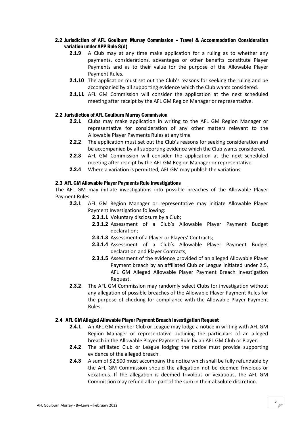## 2.2 Jurisdiction of AFL Goulburn Murray Commission – Travel & Accommodation Consideration variation under APP Rule 8(d)

- **2.1.9** A Club may at any time make application for a ruling as to whether any payments, considerations, advantages or other benefits constitute Player Payments and as to their value for the purpose of the Allowable Player Payment Rules.
- **2.1.10** The application must set out the Club's reasons for seeking the ruling and be accompanied by all supporting evidence which the Club wants considered.
- **2.1.11** AFL GM Commission will consider the application at the next scheduled meeting after receipt by the AFL GM Region Manager or representative.

## 2.2 Jurisdiction of AFL Goulburn Murray Commission

- **2.2.1** Clubs may make application in writing to the AFL GM Region Manager or representative for consideration of any other matters relevant to the Allowable Player Payments Rules at any time
- **2.2.2** The application must set out the Club's reasons for seeking consideration and be accompanied by all supporting evidence which the Club wants considered.
- 2.2.3 AFL GM Commission will consider the application at the next scheduled meeting after receipt by the AFL GM Region Manager or representative.
- 2.2.4 Where a variation is permitted, AFL GM may publish the variations.

#### 2.3 AFL GM Allowable Player Payments Rule Investigations

The AFL GM may initiate investigations into possible breaches of the Allowable Player Payment Rules.

- 2.3.1 AFL GM Region Manager or representative may initiate Allowable Player Payment Investigations following:
	- 2.3.1.1 Voluntary disclosure by a Club;
	- 2.3.1.2 Assessment of a Club's Allowable Player Payment Budget declaration;
	- 2.3.1.3 Assessment of a Player or Players' Contracts;
	- 2.3.1.4 Assessment of a Club's Allowable Player Payment Budget declaration and Player Contracts;
	- 2.3.1.5 Assessment of the evidence provided of an alleged Allowable Player Payment breach by an affiliated Club or League initiated under 2.5, AFL GM Alleged Allowable Player Payment Breach Investigation Request.
- **2.3.2** The AFL GM Commission may randomly select Clubs for investigation without any allegation of possible breaches of the Allowable Player Payment Rules for the purpose of checking for compliance with the Allowable Player Payment Rules.

#### 2.4 AFL GM Alleged Allowable Player Payment Breach Investigation Request

- 2.4.1 An AFL GM member Club or League may lodge a notice in writing with AFL GM Region Manager or representative outlining the particulars of an alleged breach in the Allowable Player Payment Rule by an AFL GM Club or Player.
- **2.4.2** The affiliated Club or League lodging the notice must provide supporting evidence of the alleged breach.
- 2.4.3 A sum of \$2,500 must accompany the notice which shall be fully refundable by the AFL GM Commission should the allegation not be deemed frivolous or vexatious. If the allegation is deemed frivolous or vexatious, the AFL GM Commission may refund all or part of the sum in their absolute discretion.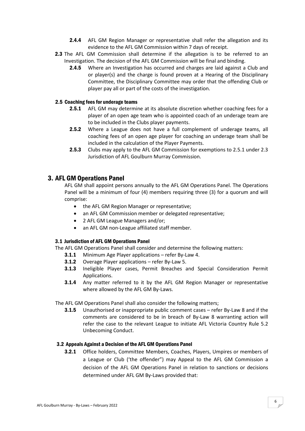- **2.4.4** AFL GM Region Manager or representative shall refer the allegation and its evidence to the AFL GM Commission within 7 days of receipt.
- 2.3 The AFL GM Commission shall determine if the allegation is to be referred to an Investigation. The decision of the AFL GM Commission will be final and binding.
	- **2.4.5** Where an Investigation has occurred and charges are laid against a Club and or player(s) and the charge is found proven at a Hearing of the Disciplinary Committee, the Disciplinary Committee may order that the offending Club or player pay all or part of the costs of the investigation.

## 2.5 Coaching fees for underage teams

- 2.5.1 AFL GM may determine at its absolute discretion whether coaching fees for a player of an open age team who is appointed coach of an underage team are to be included in the Clubs player payments.
- **2.5.2** Where a League does not have a full complement of underage teams, all coaching fees of an open age player for coaching an underage team shall be included in the calculation of the Player Payments.
- 2.5.3 Clubs may apply to the AFL GM Commission for exemptions to 2.5.1 under 2.3 Jurisdiction of AFL Goulburn Murray Commission.

# 3. AFL GM Operations Panel

AFL GM shall appoint persons annually to the AFL GM Operations Panel. The Operations Panel will be a minimum of four (4) members requiring three (3) for a quorum and will comprise:

- the AFL GM Region Manager or representative;
- an AFL GM Commission member or delegated representative;
- 2 AFL GM League Managers and/or;
- an AFL GM non-League affiliated staff member.

#### 3.1 Jurisdiction of AFL GM Operations Panel

The AFL GM Operations Panel shall consider and determine the following matters:

- 3.1.1 Minimum Age Player applications refer By-Law 4.
- 3.1.2 Overage Player applications refer By-Law 5.
- 3.1.3 Ineligible Player cases, Permit Breaches and Special Consideration Permit Applications.
- **3.1.4** Any matter referred to it by the AFL GM Region Manager or representative where allowed by the AFL GM By-Laws.

The AFL GM Operations Panel shall also consider the following matters;

3.1.5 Unauthorised or inappropriate public comment cases – refer By-Law 8 and if the comments are considered to be in breach of By-Law 8 warranting action will refer the case to the relevant League to initiate AFL Victoria Country Rule 5.2 Unbecoming Conduct.

#### 3.2 Appeals Against a Decision of the AFL GM Operations Panel

**3.2.1** Office holders, Committee Members, Coaches, Players, Umpires or members of a League or Club ('the offender") may Appeal to the AFL GM Commission a decision of the AFL GM Operations Panel in relation to sanctions or decisions determined under AFL GM By-Laws provided that: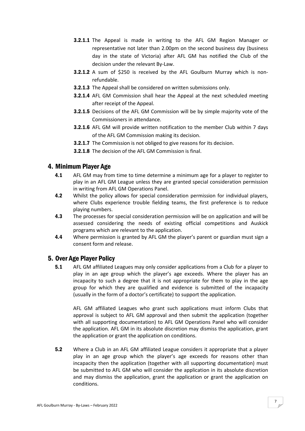- **3.2.1.1** The Appeal is made in writing to the AFL GM Region Manager or representative not later than 2.00pm on the second business day (business day in the state of Victoria) after AFL GM has notified the Club of the decision under the relevant By-Law.
- **3.2.1.2** A sum of \$250 is received by the AFL Goulburn Murray which is nonrefundable.
- **3.2.1.3** The Appeal shall be considered on written submissions only.
- **3.2.1.4** AFL GM Commission shall hear the Appeal at the next scheduled meeting after receipt of the Appeal.
- 3.2.1.5 Decisions of the AFL GM Commission will be by simple majority vote of the Commissioners in attendance.
- **3.2.1.6** AFL GM will provide written notification to the member Club within 7 days of the AFL GM Commission making its decision.
- **3.2.1.7** The Commission is not obliged to give reasons for its decision.
- 3.2.1.8 The decision of the AFL GM Commission is final.

# 4. Minimum Player Age

- 4.1 AFL GM may from time to time determine a minimum age for a player to register to play in an AFL GM League unless they are granted special consideration permission in writing from AFL GM Operations Panel.
- 4.2 Whilst the policy allows for special consideration permission for individual players, where Clubs experience trouble fielding teams, the first preference is to reduce playing numbers.
- 4.3 The processes for special consideration permission will be on application and will be assessed considering the needs of existing official competitions and Auskick programs which are relevant to the application.
- 4.4 Where permission is granted by AFL GM the player's parent or guardian must sign a consent form and release.

# 5. Over Age Player Policy

**5.1** AFL GM affiliated Leagues may only consider applications from a Club for a player to play in an age group which the player's age exceeds. Where the player has an incapacity to such a degree that it is not appropriate for them to play in the age group for which they are qualified and evidence is submitted of the incapacity (usually in the form of a doctor's certificate) to support the application.

AFL GM affiliated Leagues who grant such applications must inform Clubs that approval is subject to AFL GM approval and then submit the application (together with all supporting documentation) to AFL GM Operations Panel who will consider the application. AFL GM in its absolute discretion may dismiss the application, grant the application or grant the application on conditions.

5.2 Where a Club in an AFL GM affiliated League considers it appropriate that a player play in an age group which the player's age exceeds for reasons other than incapacity then the application (together with all supporting documentation) must be submitted to AFL GM who will consider the application in its absolute discretion and may dismiss the application, grant the application or grant the application on conditions.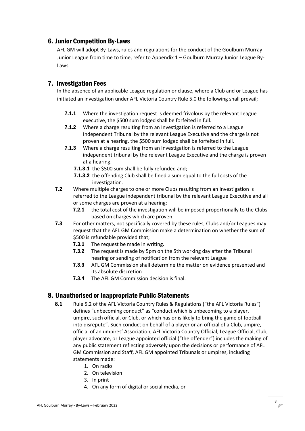# 6. Junior Competition By-Laws

AFL GM will adopt By-Laws, rules and regulations for the conduct of the Goulburn Murray Junior League from time to time, refer to Appendix 1 – Goulburn Murray Junior League By-Laws

# 7. Investigation Fees

In the absence of an applicable League regulation or clause, where a Club and or League has initiated an investigation under AFL Victoria Country Rule 5.0 the following shall prevail;

- **7.1.1** Where the investigation request is deemed frivolous by the relevant League executive, the \$500 sum lodged shall be forfeited in full.
- 7.1.2 Where a charge resulting from an Investigation is referred to a League Independent Tribunal by the relevant League Executive and the charge is not proven at a hearing, the \$500 sum lodged shall be forfeited in full.
- 7.1.3 Where a charge resulting from an Investigation is referred to the League independent tribunal by the relevant League Executive and the charge is proven at a hearing;
	- 7.1.3.1 the \$500 sum shall be fully refunded and;
	- 7.1.3.2 the offending Club shall be fined a sum equal to the full costs of the investigation.
- 7.2 Where multiple charges to one or more Clubs resulting from an Investigation is referred to the League independent tribunal by the relevant League Executive and all or some charges are proven at a hearing;
	- 7.2.1 the total cost of the investigation will be imposed proportionally to the Clubs based on charges which are proven.
- 7.3 For other matters, not specifically covered by these rules, Clubs and/or Leagues may request that the AFL GM Commission make a determination on whether the sum of \$500 is refundable provided that;
	- **7.3.1** The request be made in writing.
	- **7.3.2** The request is made by 5pm on the 5th working day after the Tribunal hearing or sending of notification from the relevant League
	- 7.3.3 AFL GM Commission shall determine the matter on evidence presented and its absolute discretion
	- 7.3.4 The AFL GM Commission decision is final.

# 8. Unauthorised or Inappropriate Public Statements

- 8.1 Rule 5.2 of the AFL Victoria Country Rules & Regulations ("the AFL Victoria Rules") defines "unbecoming conduct" as "conduct which is unbecoming to a player, umpire, such official, or Club, or which has or is likely to bring the game of football into disrepute". Such conduct on behalf of a player or an official of a Club, umpire, official of an umpires' Association, AFL Victoria Country Official, League Official, Club, player advocate, or League appointed official ("the offender") includes the making of any public statement reflecting adversely upon the decisions or performance of AFL GM Commission and Staff, AFL GM appointed Tribunals or umpires, including statements made:
	- 1. On radio
	- 2. On television
	- 3. In print
	- 4. On any form of digital or social media, or